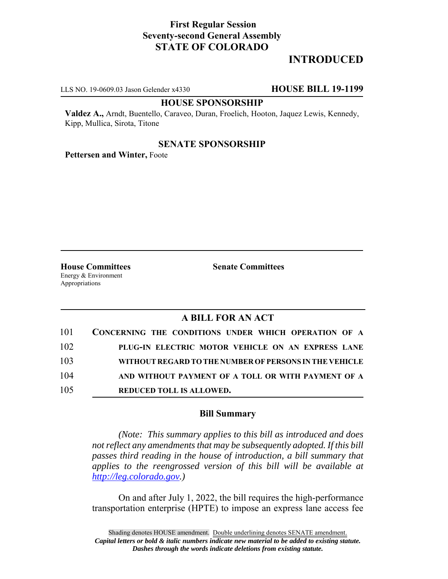# **First Regular Session Seventy-second General Assembly STATE OF COLORADO**

# **INTRODUCED**

LLS NO. 19-0609.03 Jason Gelender x4330 **HOUSE BILL 19-1199**

#### **HOUSE SPONSORSHIP**

**Valdez A.,** Arndt, Buentello, Caraveo, Duran, Froelich, Hooton, Jaquez Lewis, Kennedy, Kipp, Mullica, Sirota, Titone

## **SENATE SPONSORSHIP**

**Pettersen and Winter,** Foote

Energy & Environment Appropriations

**House Committees Senate Committees** 

## **A BILL FOR AN ACT**

| 101 | CONCERNING THE CONDITIONS UNDER WHICH OPERATION OF A   |
|-----|--------------------------------------------------------|
| 102 | PLUG-IN ELECTRIC MOTOR VEHICLE ON AN EXPRESS LANE      |
| 103 | WITHOUT REGARD TO THE NUMBER OF PERSONS IN THE VEHICLE |
| 104 | AND WITHOUT PAYMENT OF A TOLL OR WITH PAYMENT OF A     |
| 105 | <b>REDUCED TOLL IS ALLOWED.</b>                        |

### **Bill Summary**

*(Note: This summary applies to this bill as introduced and does not reflect any amendments that may be subsequently adopted. If this bill passes third reading in the house of introduction, a bill summary that applies to the reengrossed version of this bill will be available at http://leg.colorado.gov.)*

On and after July 1, 2022, the bill requires the high-performance transportation enterprise (HPTE) to impose an express lane access fee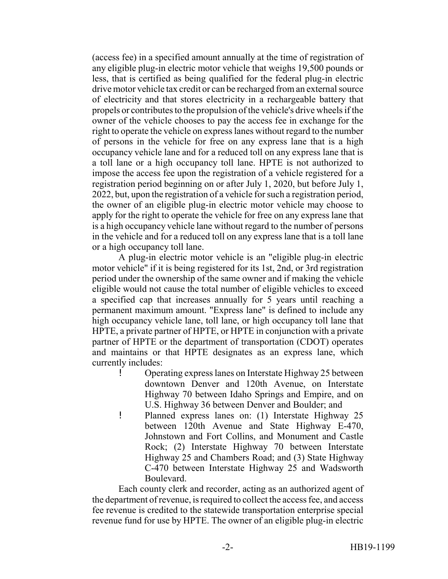(access fee) in a specified amount annually at the time of registration of any eligible plug-in electric motor vehicle that weighs 19,500 pounds or less, that is certified as being qualified for the federal plug-in electric drive motor vehicle tax credit or can be recharged from an external source of electricity and that stores electricity in a rechargeable battery that propels or contributes to the propulsion of the vehicle's drive wheels if the owner of the vehicle chooses to pay the access fee in exchange for the right to operate the vehicle on express lanes without regard to the number of persons in the vehicle for free on any express lane that is a high occupancy vehicle lane and for a reduced toll on any express lane that is a toll lane or a high occupancy toll lane. HPTE is not authorized to impose the access fee upon the registration of a vehicle registered for a registration period beginning on or after July 1, 2020, but before July 1, 2022, but, upon the registration of a vehicle for such a registration period, the owner of an eligible plug-in electric motor vehicle may choose to apply for the right to operate the vehicle for free on any express lane that is a high occupancy vehicle lane without regard to the number of persons in the vehicle and for a reduced toll on any express lane that is a toll lane or a high occupancy toll lane.

A plug-in electric motor vehicle is an "eligible plug-in electric motor vehicle" if it is being registered for its 1st, 2nd, or 3rd registration period under the ownership of the same owner and if making the vehicle eligible would not cause the total number of eligible vehicles to exceed a specified cap that increases annually for 5 years until reaching a permanent maximum amount. "Express lane" is defined to include any high occupancy vehicle lane, toll lane, or high occupancy toll lane that HPTE, a private partner of HPTE, or HPTE in conjunction with a private partner of HPTE or the department of transportation (CDOT) operates and maintains or that HPTE designates as an express lane, which currently includes:

- ! Operating express lanes on Interstate Highway 25 between downtown Denver and 120th Avenue, on Interstate Highway 70 between Idaho Springs and Empire, and on U.S. Highway 36 between Denver and Boulder; and
- ! Planned express lanes on: (1) Interstate Highway 25 between 120th Avenue and State Highway E-470, Johnstown and Fort Collins, and Monument and Castle Rock; (2) Interstate Highway 70 between Interstate Highway 25 and Chambers Road; and (3) State Highway C-470 between Interstate Highway 25 and Wadsworth Boulevard.

Each county clerk and recorder, acting as an authorized agent of the department of revenue, is required to collect the access fee, and access fee revenue is credited to the statewide transportation enterprise special revenue fund for use by HPTE. The owner of an eligible plug-in electric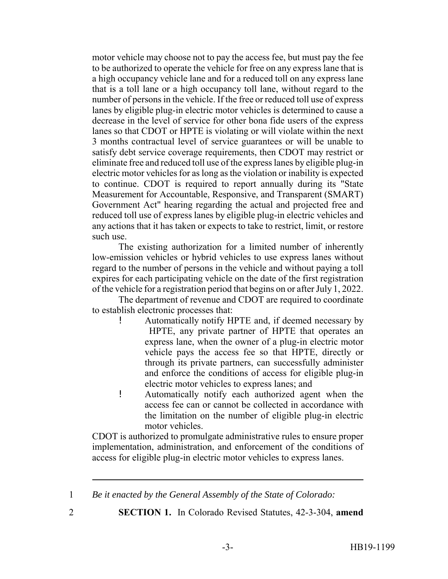motor vehicle may choose not to pay the access fee, but must pay the fee to be authorized to operate the vehicle for free on any express lane that is a high occupancy vehicle lane and for a reduced toll on any express lane that is a toll lane or a high occupancy toll lane, without regard to the number of persons in the vehicle. If the free or reduced toll use of express lanes by eligible plug-in electric motor vehicles is determined to cause a decrease in the level of service for other bona fide users of the express lanes so that CDOT or HPTE is violating or will violate within the next 3 months contractual level of service guarantees or will be unable to satisfy debt service coverage requirements, then CDOT may restrict or eliminate free and reduced toll use of the express lanes by eligible plug-in electric motor vehicles for as long as the violation or inability is expected to continue. CDOT is required to report annually during its "State Measurement for Accountable, Responsive, and Transparent (SMART) Government Act" hearing regarding the actual and projected free and reduced toll use of express lanes by eligible plug-in electric vehicles and any actions that it has taken or expects to take to restrict, limit, or restore such use.

The existing authorization for a limited number of inherently low-emission vehicles or hybrid vehicles to use express lanes without regard to the number of persons in the vehicle and without paying a toll expires for each participating vehicle on the date of the first registration of the vehicle for a registration period that begins on or after July 1, 2022.

The department of revenue and CDOT are required to coordinate to establish electronic processes that:

- ! Automatically notify HPTE and, if deemed necessary by HPTE, any private partner of HPTE that operates an express lane, when the owner of a plug-in electric motor vehicle pays the access fee so that HPTE, directly or through its private partners, can successfully administer and enforce the conditions of access for eligible plug-in electric motor vehicles to express lanes; and
- ! Automatically notify each authorized agent when the access fee can or cannot be collected in accordance with the limitation on the number of eligible plug-in electric motor vehicles.

CDOT is authorized to promulgate administrative rules to ensure proper implementation, administration, and enforcement of the conditions of access for eligible plug-in electric motor vehicles to express lanes.

- 
- 2 **SECTION 1.** In Colorado Revised Statutes, 42-3-304, **amend**

<sup>1</sup> *Be it enacted by the General Assembly of the State of Colorado:*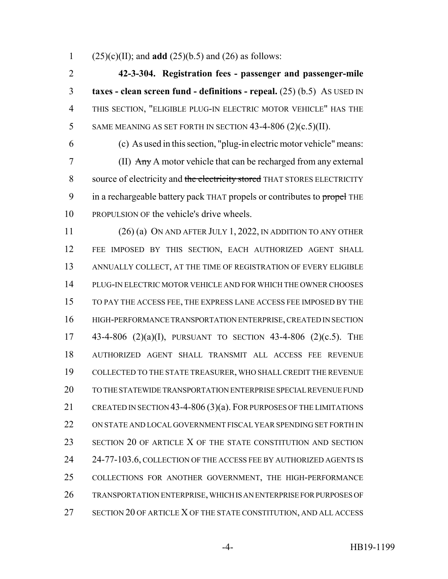(25)(c)(II); and **add** (25)(b.5) and (26) as follows:

 **42-3-304. Registration fees - passenger and passenger-mile taxes - clean screen fund - definitions - repeal.** (25) (b.5) AS USED IN THIS SECTION, "ELIGIBLE PLUG-IN ELECTRIC MOTOR VEHICLE" HAS THE 5 SAME MEANING AS SET FORTH IN SECTION  $43-4-806$  (2)(c.5)(II).

 (c) As used in this section, "plug-in electric motor vehicle" means: (II) Any A motor vehicle that can be recharged from any external 8 source of electricity and the electricity stored THAT STORES ELECTRICITY 9 in a rechargeable battery pack THAT propels or contributes to propel THE PROPULSION OF the vehicle's drive wheels.

 (26) (a) ON AND AFTER JULY 1, 2022, IN ADDITION TO ANY OTHER FEE IMPOSED BY THIS SECTION, EACH AUTHORIZED AGENT SHALL ANNUALLY COLLECT, AT THE TIME OF REGISTRATION OF EVERY ELIGIBLE PLUG-IN ELECTRIC MOTOR VEHICLE AND FOR WHICH THE OWNER CHOOSES TO PAY THE ACCESS FEE, THE EXPRESS LANE ACCESS FEE IMPOSED BY THE HIGH-PERFORMANCE TRANSPORTATION ENTERPRISE, CREATED IN SECTION 43-4-806 (2)(a)(I), PURSUANT TO SECTION 43-4-806 (2)(c.5). THE AUTHORIZED AGENT SHALL TRANSMIT ALL ACCESS FEE REVENUE COLLECTED TO THE STATE TREASURER, WHO SHALL CREDIT THE REVENUE TO THE STATEWIDE TRANSPORTATION ENTERPRISE SPECIAL REVENUE FUND CREATED IN SECTION 43-4-806 (3)(a). FOR PURPOSES OF THE LIMITATIONS ON STATE AND LOCAL GOVERNMENT FISCAL YEAR SPENDING SET FORTH IN 23 SECTION 20 OF ARTICLE X OF THE STATE CONSTITUTION AND SECTION 24 24-77-103.6, COLLECTION OF THE ACCESS FEE BY AUTHORIZED AGENTS IS COLLECTIONS FOR ANOTHER GOVERNMENT, THE HIGH-PERFORMANCE TRANSPORTATION ENTERPRISE, WHICH IS AN ENTERPRISE FOR PURPOSES OF 27 SECTION 20 OF ARTICLE X OF THE STATE CONSTITUTION, AND ALL ACCESS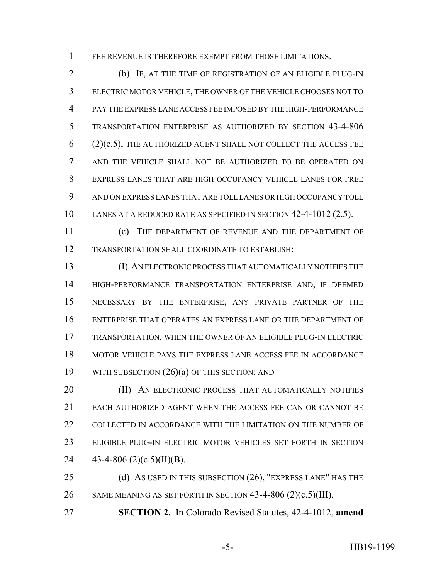FEE REVENUE IS THEREFORE EXEMPT FROM THOSE LIMITATIONS.

 (b) IF, AT THE TIME OF REGISTRATION OF AN ELIGIBLE PLUG-IN ELECTRIC MOTOR VEHICLE, THE OWNER OF THE VEHICLE CHOOSES NOT TO PAY THE EXPRESS LANE ACCESS FEE IMPOSED BY THE HIGH-PERFORMANCE TRANSPORTATION ENTERPRISE AS AUTHORIZED BY SECTION 43-4-806 (2)(c.5), THE AUTHORIZED AGENT SHALL NOT COLLECT THE ACCESS FEE AND THE VEHICLE SHALL NOT BE AUTHORIZED TO BE OPERATED ON EXPRESS LANES THAT ARE HIGH OCCUPANCY VEHICLE LANES FOR FREE AND ON EXPRESS LANES THAT ARE TOLL LANES OR HIGH OCCUPANCY TOLL LANES AT A REDUCED RATE AS SPECIFIED IN SECTION 42-4-1012 (2.5).

 (c) THE DEPARTMENT OF REVENUE AND THE DEPARTMENT OF TRANSPORTATION SHALL COORDINATE TO ESTABLISH:

 (I) AN ELECTRONIC PROCESS THAT AUTOMATICALLY NOTIFIES THE HIGH-PERFORMANCE TRANSPORTATION ENTERPRISE AND, IF DEEMED NECESSARY BY THE ENTERPRISE, ANY PRIVATE PARTNER OF THE ENTERPRISE THAT OPERATES AN EXPRESS LANE OR THE DEPARTMENT OF TRANSPORTATION, WHEN THE OWNER OF AN ELIGIBLE PLUG-IN ELECTRIC MOTOR VEHICLE PAYS THE EXPRESS LANE ACCESS FEE IN ACCORDANCE WITH SUBSECTION (26)(a) OF THIS SECTION; AND

**(II) AN ELECTRONIC PROCESS THAT AUTOMATICALLY NOTIFIES**  EACH AUTHORIZED AGENT WHEN THE ACCESS FEE CAN OR CANNOT BE 22 COLLECTED IN ACCORDANCE WITH THE LIMITATION ON THE NUMBER OF ELIGIBLE PLUG-IN ELECTRIC MOTOR VEHICLES SET FORTH IN SECTION  $43-4-806$  (2)(c.5)(II)(B).

 (d) AS USED IN THIS SUBSECTION (26), "EXPRESS LANE" HAS THE 26 SAME MEANING AS SET FORTH IN SECTION 43-4-806 (2)(c.5)(III).

**SECTION 2.** In Colorado Revised Statutes, 42-4-1012, **amend**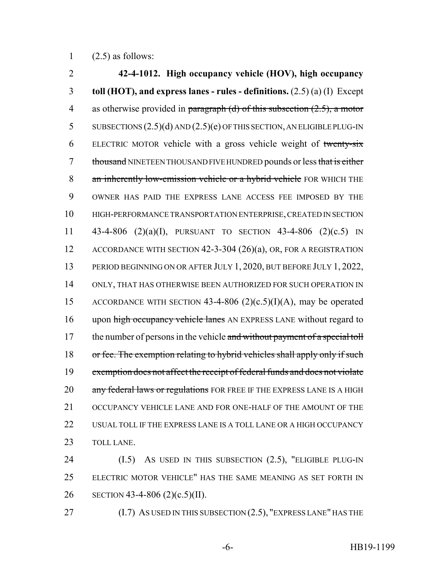1  $(2.5)$  as follows:

2 **42-4-1012. High occupancy vehicle (HOV), high occupancy** 3 **toll (HOT), and express lanes - rules - definitions.** (2.5) (a) (I) Except 4 as otherwise provided in paragraph (d) of this subsection  $(2.5)$ , a motor 5 SUBSECTIONS (2.5)(d) AND (2.5)(e) OF THIS SECTION, AN ELIGIBLE PLUG-IN 6 ELECTRIC MOTOR vehicle with a gross vehicle weight of twenty-six 7 thousand NINETEEN THOUSAND FIVE HUNDRED pounds or less that is either 8 an inherently low-emission vehicle or a hybrid vehicle FOR WHICH THE 9 OWNER HAS PAID THE EXPRESS LANE ACCESS FEE IMPOSED BY THE 10 HIGH-PERFORMANCE TRANSPORTATION ENTERPRISE, CREATED IN SECTION 11 43-4-806 (2)(a)(I), PURSUANT TO SECTION 43-4-806 (2)(c.5) IN 12 ACCORDANCE WITH SECTION 42-3-304 (26)(a), OR, FOR A REGISTRATION 13 PERIOD BEGINNING ON OR AFTER JULY 1, 2020, BUT BEFORE JULY 1, 2022, 14 ONLY, THAT HAS OTHERWISE BEEN AUTHORIZED FOR SUCH OPERATION IN 15 ACCORDANCE WITH SECTION 43-4-806  $(2)(c.5)(I)(A)$ , may be operated 16 upon high occupancy vehicle lanes AN EXPRESS LANE without regard to 17 the number of persons in the vehicle and without payment of a special toll 18 or fee. The exemption relating to hybrid vehicles shall apply only if such 19 exemption does not affect the receipt of federal funds and does not violate 20 any federal laws or regulations FOR FREE IF THE EXPRESS LANE IS A HIGH 21 OCCUPANCY VEHICLE LANE AND FOR ONE-HALF OF THE AMOUNT OF THE 22 USUAL TOLL IF THE EXPRESS LANE IS A TOLL LANE OR A HIGH OCCUPANCY 23 TOLL LANE.

24 (I.5) AS USED IN THIS SUBSECTION (2.5), "ELIGIBLE PLUG-IN 25 ELECTRIC MOTOR VEHICLE" HAS THE SAME MEANING AS SET FORTH IN 26 SECTION 43-4-806 (2)(c.5)(II).

27 (I.7) AS USED IN THIS SUBSECTION (2.5), "EXPRESS LANE" HAS THE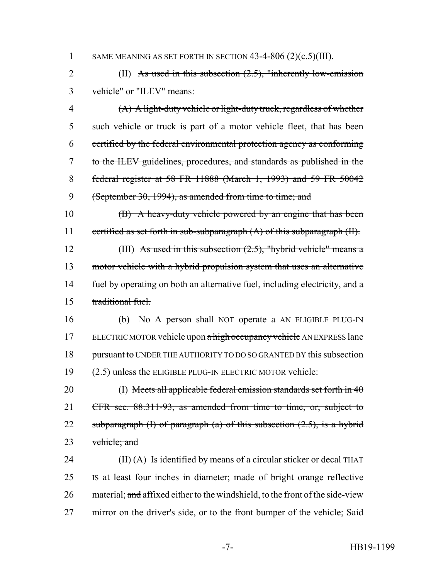#### 1 SAME MEANING AS SET FORTH IN SECTION 43-4-806 (2)(c.5)(III).

2 (II) As used in this subsection (2.5), "inherently low-emission 3 vehicle" or "ILEV" means:

 (A) A light-duty vehicle or light-duty truck, regardless of whether such vehicle or truck is part of a motor vehicle fleet, that has been certified by the federal environmental protection agency as conforming to the ILEV guidelines, procedures, and standards as published in the federal register at 58 FR 11888 (March 1, 1993) and 59 FR 50042 (September 30, 1994), as amended from time to time; and

10 (B) A heavy-duty vehicle powered by an engine that has been 11 certified as set forth in sub-subparagraph (A) of this subparagraph (II).

12 (III) As used in this subsection  $(2.5)$ , "hybrid vehicle" means a 13 motor vehicle with a hybrid propulsion system that uses an alternative 14 fuel by operating on both an alternative fuel, including electricity, and a 15 traditional fuel.

16 (b) No A person shall NOT operate  $\alpha$  AN ELIGIBLE PLUG-IN 17 ELECTRIC MOTOR vehicle upon a high occupancy vehicle AN EXPRESS lane 18 pursuant to UNDER THE AUTHORITY TO DO SO GRANTED BY this subsection 19 (2.5) unless the ELIGIBLE PLUG-IN ELECTRIC MOTOR vehicle:

20 (I) Meets all applicable federal emission standards set forth in 40 21 CFR sec. 88.311-93, as amended from time to time, or, subject to 22 subparagraph  $(I)$  of paragraph  $(a)$  of this subsection  $(2.5)$ , is a hybrid 23 vehicle; and

24 (II) (A) Is identified by means of a circular sticker or decal THAT 25 IS at least four inches in diameter; made of bright orange reflective 26 material; and affixed either to the windshield, to the front of the side-view 27 mirror on the driver's side, or to the front bumper of the vehicle; Said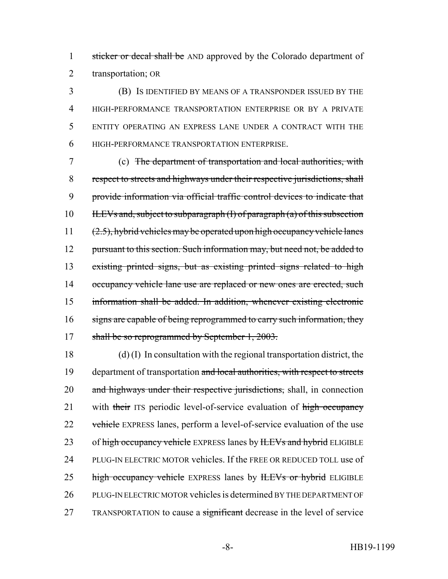1 sticker or decal shall be AND approved by the Colorado department of 2 transportation; OR

 (B) IS IDENTIFIED BY MEANS OF A TRANSPONDER ISSUED BY THE HIGH-PERFORMANCE TRANSPORTATION ENTERPRISE OR BY A PRIVATE ENTITY OPERATING AN EXPRESS LANE UNDER A CONTRACT WITH THE HIGH-PERFORMANCE TRANSPORTATION ENTERPRISE.

7 (c) The department of transportation and local authorities, with 8 respect to streets and highways under their respective jurisdictions, shall 9 provide information via official traffic control devices to indicate that 10 ILEVs and, subject to subparagraph (I) of paragraph (a) of this subsection 11  $(2.5)$ , hybrid vehicles may be operated upon high occupancy vehicle lanes 12 pursuant to this section. Such information may, but need not, be added to 13 existing printed signs, but as existing printed signs related to high 14 occupancy vehicle lane use are replaced or new ones are erected, such 15 information shall be added. In addition, whenever existing electronic 16 signs are capable of being reprogrammed to carry such information, they 17 shall be so reprogrammed by September 1, 2003.

18 (d) (I) In consultation with the regional transportation district, the 19 department of transportation and local authorities, with respect to streets 20 and highways under their respective jurisdictions, shall, in connection 21 with their ITS periodic level-of-service evaluation of high occupancy 22 vehicle EXPRESS lanes, perform a level-of-service evaluation of the use 23 of high occupancy vehicle EXPRESS lanes by HEVs and hybrid ELIGIBLE 24 PLUG-IN ELECTRIC MOTOR vehicles. If the FREE OR REDUCED TOLL use of 25 high occupancy vehicle EXPRESS lanes by HEVs or hybrid ELIGIBLE 26 PLUG-IN ELECTRIC MOTOR vehicles is determined BY THE DEPARTMENT OF 27 TRANSPORTATION to cause a significant decrease in the level of service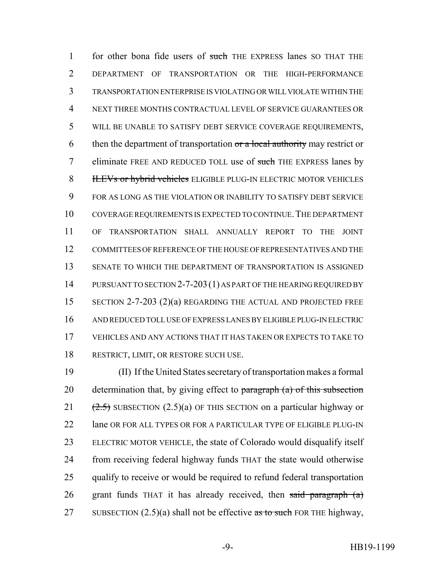1 for other bona fide users of such THE EXPRESS lanes SO THAT THE DEPARTMENT OF TRANSPORTATION OR THE HIGH-PERFORMANCE TRANSPORTATION ENTERPRISE IS VIOLATING OR WILL VIOLATE WITHIN THE NEXT THREE MONTHS CONTRACTUAL LEVEL OF SERVICE GUARANTEES OR WILL BE UNABLE TO SATISFY DEBT SERVICE COVERAGE REQUIREMENTS, 6 then the department of transportation  $\sigma$  a local authority may restrict or 7 eliminate FREE AND REDUCED TOLL use of such THE EXPRESS lanes by **ILEVs or hybrid vehicles** ELIGIBLE PLUG-IN ELECTRIC MOTOR VEHICLES FOR AS LONG AS THE VIOLATION OR INABILITY TO SATISFY DEBT SERVICE COVERAGE REQUIREMENTS IS EXPECTED TO CONTINUE.THE DEPARTMENT OF TRANSPORTATION SHALL ANNUALLY REPORT TO THE JOINT COMMITTEES OF REFERENCE OF THE HOUSE OF REPRESENTATIVES AND THE SENATE TO WHICH THE DEPARTMENT OF TRANSPORTATION IS ASSIGNED 14 PURSUANT TO SECTION 2-7-203 (1) AS PART OF THE HEARING REQUIRED BY SECTION 2-7-203 (2)(a) REGARDING THE ACTUAL AND PROJECTED FREE AND REDUCED TOLL USE OF EXPRESS LANES BY ELIGIBLE PLUG-IN ELECTRIC VEHICLES AND ANY ACTIONS THAT IT HAS TAKEN OR EXPECTS TO TAKE TO RESTRICT, LIMIT, OR RESTORE SUCH USE.

 (II) If the United States secretary of transportation makes a formal 20 determination that, by giving effect to paragraph  $(a)$  of this subsection 21  $(2.5)$  SUBSECTION  $(2.5)(a)$  OF THIS SECTION on a particular highway or 22 lane OR FOR ALL TYPES OR FOR A PARTICULAR TYPE OF ELIGIBLE PLUG-IN ELECTRIC MOTOR VEHICLE, the state of Colorado would disqualify itself from receiving federal highway funds THAT the state would otherwise 25 qualify to receive or would be required to refund federal transportation 26 grant funds THAT it has already received, then said paragraph  $(a)$ 27 SUBSECTION  $(2.5)(a)$  shall not be effective as to such FOR THE highway,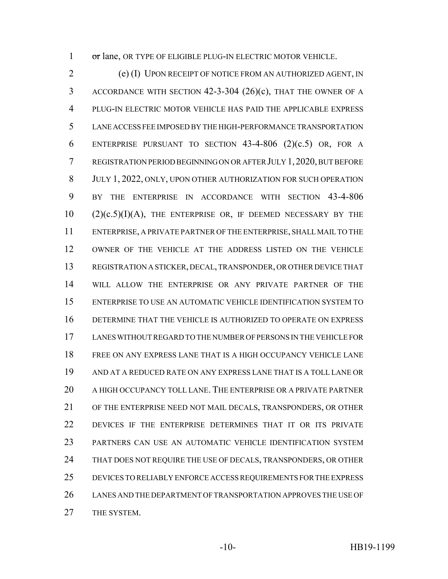1 or lane, OR TYPE OF ELIGIBLE PLUG-IN ELECTRIC MOTOR VEHICLE.

 (e) (I) UPON RECEIPT OF NOTICE FROM AN AUTHORIZED AGENT, IN ACCORDANCE WITH SECTION 42-3-304 (26)(c), THAT THE OWNER OF A PLUG-IN ELECTRIC MOTOR VEHICLE HAS PAID THE APPLICABLE EXPRESS LANE ACCESS FEE IMPOSED BY THE HIGH-PERFORMANCE TRANSPORTATION 6 ENTERPRISE PURSUANT TO SECTION  $43-4-806$   $(2)(c.5)$  OR, FOR A REGISTRATION PERIOD BEGINNING ON OR AFTER JULY 1,2020, BUT BEFORE JULY 1, 2022, ONLY, UPON OTHER AUTHORIZATION FOR SUCH OPERATION BY THE ENTERPRISE IN ACCORDANCE WITH SECTION 43-4-806 (2)(c.5)(I)(A), THE ENTERPRISE OR, IF DEEMED NECESSARY BY THE ENTERPRISE, A PRIVATE PARTNER OF THE ENTERPRISE, SHALL MAIL TO THE OWNER OF THE VEHICLE AT THE ADDRESS LISTED ON THE VEHICLE REGISTRATION A STICKER, DECAL, TRANSPONDER, OR OTHER DEVICE THAT WILL ALLOW THE ENTERPRISE OR ANY PRIVATE PARTNER OF THE ENTERPRISE TO USE AN AUTOMATIC VEHICLE IDENTIFICATION SYSTEM TO DETERMINE THAT THE VEHICLE IS AUTHORIZED TO OPERATE ON EXPRESS LANES WITHOUT REGARD TO THE NUMBER OF PERSONS IN THE VEHICLE FOR FREE ON ANY EXPRESS LANE THAT IS A HIGH OCCUPANCY VEHICLE LANE AND AT A REDUCED RATE ON ANY EXPRESS LANE THAT IS A TOLL LANE OR A HIGH OCCUPANCY TOLL LANE. THE ENTERPRISE OR A PRIVATE PARTNER OF THE ENTERPRISE NEED NOT MAIL DECALS, TRANSPONDERS, OR OTHER DEVICES IF THE ENTERPRISE DETERMINES THAT IT OR ITS PRIVATE PARTNERS CAN USE AN AUTOMATIC VEHICLE IDENTIFICATION SYSTEM 24 THAT DOES NOT REQUIRE THE USE OF DECALS, TRANSPONDERS, OR OTHER DEVICES TO RELIABLY ENFORCE ACCESS REQUIREMENTS FOR THE EXPRESS LANES AND THE DEPARTMENT OF TRANSPORTATION APPROVES THE USE OF THE SYSTEM.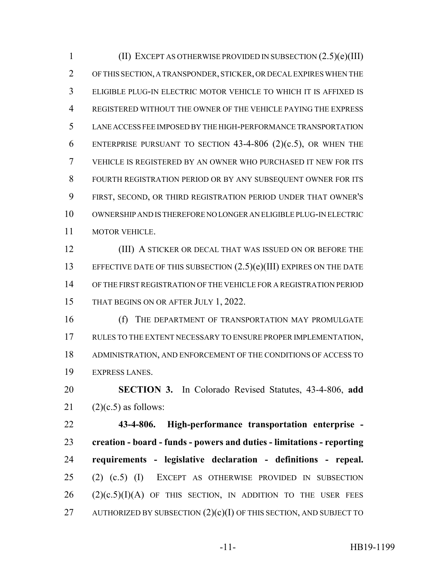(II) EXCEPT AS OTHERWISE PROVIDED IN SUBSECTION (2.5)(e)(III) OF THIS SECTION, A TRANSPONDER, STICKER, OR DECAL EXPIRES WHEN THE ELIGIBLE PLUG-IN ELECTRIC MOTOR VEHICLE TO WHICH IT IS AFFIXED IS REGISTERED WITHOUT THE OWNER OF THE VEHICLE PAYING THE EXPRESS LANE ACCESS FEE IMPOSED BY THE HIGH-PERFORMANCE TRANSPORTATION 6 ENTERPRISE PURSUANT TO SECTION  $43-4-806$   $(2)(c.5)$ , OR WHEN THE VEHICLE IS REGISTERED BY AN OWNER WHO PURCHASED IT NEW FOR ITS FOURTH REGISTRATION PERIOD OR BY ANY SUBSEQUENT OWNER FOR ITS FIRST, SECOND, OR THIRD REGISTRATION PERIOD UNDER THAT OWNER'S OWNERSHIP AND IS THEREFORE NO LONGER AN ELIGIBLE PLUG-IN ELECTRIC MOTOR VEHICLE.

**(III) A STICKER OR DECAL THAT WAS ISSUED ON OR BEFORE THE** 13 EFFECTIVE DATE OF THIS SUBSECTION  $(2.5)(e)(III)$  EXPIRES ON THE DATE OF THE FIRST REGISTRATION OF THE VEHICLE FOR A REGISTRATION PERIOD 15 THAT BEGINS ON OR AFTER JULY 1, 2022.

**(f)** THE DEPARTMENT OF TRANSPORTATION MAY PROMULGATE RULES TO THE EXTENT NECESSARY TO ENSURE PROPER IMPLEMENTATION, ADMINISTRATION, AND ENFORCEMENT OF THE CONDITIONS OF ACCESS TO EXPRESS LANES.

 **SECTION 3.** In Colorado Revised Statutes, 43-4-806, **add** (2)(c.5) as follows:

 **43-4-806. High-performance transportation enterprise - creation - board - funds - powers and duties - limitations - reporting requirements - legislative declaration - definitions - repeal.** (2) (c.5) (I) EXCEPT AS OTHERWISE PROVIDED IN SUBSECTION (2)(c.5)(I)(A) OF THIS SECTION, IN ADDITION TO THE USER FEES 27 AUTHORIZED BY SUBSECTION  $(2)(c)(I)$  OF THIS SECTION, AND SUBJECT TO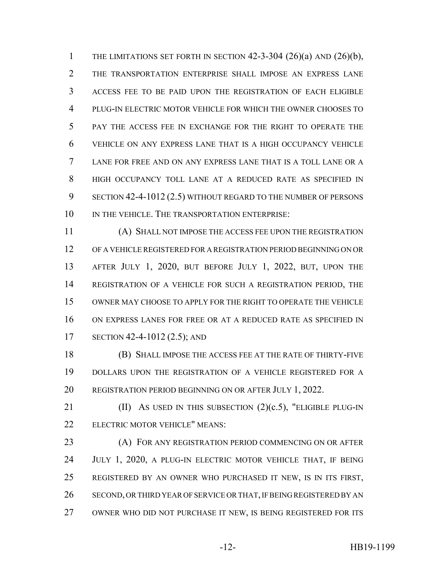1 THE LIMITATIONS SET FORTH IN SECTION  $42-3-304$   $(26)(a)$  and  $(26)(b)$ , THE TRANSPORTATION ENTERPRISE SHALL IMPOSE AN EXPRESS LANE ACCESS FEE TO BE PAID UPON THE REGISTRATION OF EACH ELIGIBLE PLUG-IN ELECTRIC MOTOR VEHICLE FOR WHICH THE OWNER CHOOSES TO PAY THE ACCESS FEE IN EXCHANGE FOR THE RIGHT TO OPERATE THE VEHICLE ON ANY EXPRESS LANE THAT IS A HIGH OCCUPANCY VEHICLE LANE FOR FREE AND ON ANY EXPRESS LANE THAT IS A TOLL LANE OR A HIGH OCCUPANCY TOLL LANE AT A REDUCED RATE AS SPECIFIED IN SECTION 42-4-1012 (2.5) WITHOUT REGARD TO THE NUMBER OF PERSONS 10 IN THE VEHICLE. THE TRANSPORTATION ENTERPRISE:

 (A) SHALL NOT IMPOSE THE ACCESS FEE UPON THE REGISTRATION OF A VEHICLE REGISTERED FOR A REGISTRATION PERIOD BEGINNING ON OR AFTER JULY 1, 2020, BUT BEFORE JULY 1, 2022, BUT, UPON THE REGISTRATION OF A VEHICLE FOR SUCH A REGISTRATION PERIOD, THE OWNER MAY CHOOSE TO APPLY FOR THE RIGHT TO OPERATE THE VEHICLE ON EXPRESS LANES FOR FREE OR AT A REDUCED RATE AS SPECIFIED IN SECTION 42-4-1012 (2.5); AND

 (B) SHALL IMPOSE THE ACCESS FEE AT THE RATE OF THIRTY-FIVE DOLLARS UPON THE REGISTRATION OF A VEHICLE REGISTERED FOR A REGISTRATION PERIOD BEGINNING ON OR AFTER JULY 1, 2022.

21 (II) AS USED IN THIS SUBSECTION  $(2)(c.5)$ , "ELIGIBLE PLUG-IN ELECTRIC MOTOR VEHICLE" MEANS:

**(A) FOR ANY REGISTRATION PERIOD COMMENCING ON OR AFTER**  JULY 1, 2020, A PLUG-IN ELECTRIC MOTOR VEHICLE THAT, IF BEING REGISTERED BY AN OWNER WHO PURCHASED IT NEW, IS IN ITS FIRST, SECOND, OR THIRD YEAR OF SERVICE OR THAT, IF BEING REGISTERED BY AN OWNER WHO DID NOT PURCHASE IT NEW, IS BEING REGISTERED FOR ITS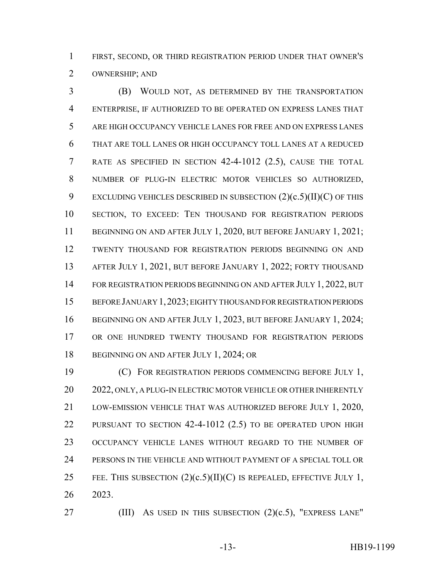FIRST, SECOND, OR THIRD REGISTRATION PERIOD UNDER THAT OWNER'S OWNERSHIP; AND

 (B) WOULD NOT, AS DETERMINED BY THE TRANSPORTATION ENTERPRISE, IF AUTHORIZED TO BE OPERATED ON EXPRESS LANES THAT ARE HIGH OCCUPANCY VEHICLE LANES FOR FREE AND ON EXPRESS LANES THAT ARE TOLL LANES OR HIGH OCCUPANCY TOLL LANES AT A REDUCED RATE AS SPECIFIED IN SECTION 42-4-1012 (2.5), CAUSE THE TOTAL NUMBER OF PLUG-IN ELECTRIC MOTOR VEHICLES SO AUTHORIZED, 9 EXCLUDING VEHICLES DESCRIBED IN SUBSECTION  $(2)(c.5)(II)(C)$  OF THIS SECTION, TO EXCEED: TEN THOUSAND FOR REGISTRATION PERIODS 11 BEGINNING ON AND AFTER JULY 1, 2020, BUT BEFORE JANUARY 1, 2021; TWENTY THOUSAND FOR REGISTRATION PERIODS BEGINNING ON AND AFTER JULY 1, 2021, BUT BEFORE JANUARY 1, 2022; FORTY THOUSAND 14 FOR REGISTRATION PERIODS BEGINNING ON AND AFTER JULY 1, 2022, BUT BEFORE JANUARY 1,2023; EIGHTY THOUSAND FOR REGISTRATION PERIODS 16 BEGINNING ON AND AFTER JULY 1, 2023, BUT BEFORE JANUARY 1, 2024; OR ONE HUNDRED TWENTY THOUSAND FOR REGISTRATION PERIODS 18 BEGINNING ON AND AFTER JULY 1, 2024; OR

 (C) FOR REGISTRATION PERIODS COMMENCING BEFORE JULY 1, 20 2022, ONLY, A PLUG-IN ELECTRIC MOTOR VEHICLE OR OTHER INHERENTLY LOW-EMISSION VEHICLE THAT WAS AUTHORIZED BEFORE JULY 1, 2020, PURSUANT TO SECTION 42-4-1012 (2.5) TO BE OPERATED UPON HIGH OCCUPANCY VEHICLE LANES WITHOUT REGARD TO THE NUMBER OF PERSONS IN THE VEHICLE AND WITHOUT PAYMENT OF A SPECIAL TOLL OR 25 FEE. THIS SUBSECTION  $(2)(c.5)(II)(C)$  IS REPEALED, EFFECTIVE JULY 1, 2023.

27 (III) AS USED IN THIS SUBSECTION (2)(c.5), "EXPRESS LANE"